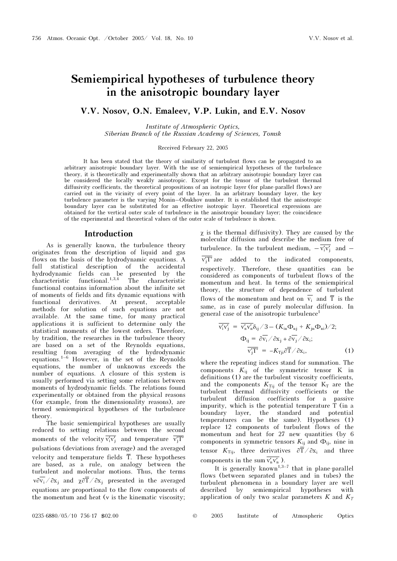# Semiempirical hypotheses of turbulence theory in the anisotropic boundary layer

## V.V. Nosov, O.N. Emaleev, V.P. Lukin, and E.V. Nosov

Institute of Atmospheric Optics, Siberian Branch of the Russian Academy of Sciences, Tomsk

Received February 22, 2005

It has been stated that the theory of similarity of turbulent flows can be propagated to an arbitrary anisotropic boundary layer. With the use of semiempirical hypotheses of the turbulence theory, it is theoretically and experimentally shown that an arbitrary anisotropic boundary layer can be considered the locally weakly anisotropic. Except for the tensor of the turbulent thermal diffusivity coefficients, the theoretical propositions of an isotropic layer (for plane-parallel flows) are carried out in the vicinity of every point of the layer. In an arbitrary boundary layer, the key turbulence parameter is the varying Monin–Obukhov number. It is established that the anisotropic boundary layer can be substituted for an effective isotropic layer. Theoretical expressions are obtained for the vertical outer scale of turbulence in the anisotropic boundary layer; the coincidence of the experimental and theoretical values of the outer scale of turbulence is shown.

#### Introduction

As is generally known, the turbulence theory originates from the description of liquid and gas flows on the basis of the hydrodynamic equations. A full statistical description of the accidental hydrodynamic fields can be presented by the characteristic functional.1,3,4 The characteristic functional contains information about the infinite set of moments of fields and fits dynamic equations with functional derivatives. At present, acceptable methods for solution of such equations are not available. At the same time, for many practical applications it is sufficient to determine only the statistical moments of the lowest orders. Therefore, by tradition, the researches in the turbulence theory are based on a set of the Reynolds equations, resulting from averaging of the hydrodynamic equations.1–6 However, in the set of the Reynolds equations, the number of unknowns exceeds the number of equations. A closure of this system is usually performed via setting some relations between moments of hydrodynamic fields. The relations found experimentally or obtained from the physical reasons (for example, from the dimensionality reasons), are termed semiempirical hypotheses of the turbulence theory.

The basic semiempirical hypotheses are usually reduced to setting relations between the second<br>moments of the velocity  $\overline{v'x'}$  and temperature  $\overline{v'T'}$ reduced to setting relations between the second<br>moments of the velocity  $\overline{v'_i v'_j}$  and temperature  $\overline{v'_j T'}$ pulsations (deviations from average) and the averaged velocity and temperature fields  $\overline{T}$ . These hypotheses are based, as a rule, on analogy between the turbulent and molecular motions. Thus, the terms  $\sqrt{\nu}$ <sub>v</sub> $\frac{\partial x_i}{\partial x_j}$  and  $\chi$  $\frac{\partial \overline{T}}{\partial x_j}$  presented in the averaged equations are proportional to the flow components of the momentum and heat (ν is the kinematic viscosity;

 $\chi$  is the thermal diffusivity). They are caused by the molecular diffusion and describe the medium free of molecular diffusion and describe the medium free of turbulence. In the turbulent medium,  $-\overline{v'_i v'_j}$  and  $\overline{v'_jT'}$  are added to the indicated components, irb<br>ידי respectively. Therefore, these quantities can be considered as components of turbulent flows of the momentum and heat. In terms of the semiempirical theory, the structure of dependence of turbulent flows of the momentum and heat on  $\overline{v_i}$  and  $\overline{T}$  is the same, as in case of purely molecular diffusion. In general case of the anisotropic turbulence<sup>1</sup><br> $\overline{v'_i v'_j} = \overline{v'_n v'_n} \delta_{ij}/3 - (K_{in} \Phi_{nj} + K_{jn} \Phi_{ni})/2;$ 

$$
\overline{v'_i v'_j} = \overline{v'_n v'_n} \delta_{ij} / 3 - (K_{in} \Phi_{nj} + K_{jn} \Phi_{ni}) / 2; \n\Phi_{ij} = \frac{\partial \overline{v_i}}{\partial x_j} / \frac{\partial x_j}{\partial x_j} + \frac{\partial \overline{v_j}}{\partial x_j}; \n\overline{v'_j T'} = -K_{Tji} \frac{\partial \overline{T}}{\partial x_j},
$$
\n(1)

where the repeating indices stand for summation. The components  $K_{ij}$  of the symmetric tensor K in definitions (1) are the turbulent viscosity coefficients, and the components  $K_{Ti}$  of the tensor  $K_T$  are the turbulent thermal diffusivity coefficients or the turbulent diffusion coefficients for a passive impurity, which is the potential temperature  $T$  (in a boundary layer, the standard and potential temperatures can be the same). Hypotheses (1) replace 12 components of turbulent flows of the momentum and heat for 27 new quantities (by 6 components in symmetric tensors  $K_{ij}$  and  $\Phi_{ij}$ , nine in tensor  $K_{\text{Tij}}$ , three derivatives  $\partial \overline{T}/\partial x_i$  and three components in the sum  $\overline{v'_n v'_n}$  ).

It is generally known<sup>1,3–7</sup> that in plane-parallel flows (between separated planes and in tubes) the turbulent phenomena in a boundary layer are well described by semiempirical hypotheses with application of only two scalar parameters K and  $K<sub>T</sub>$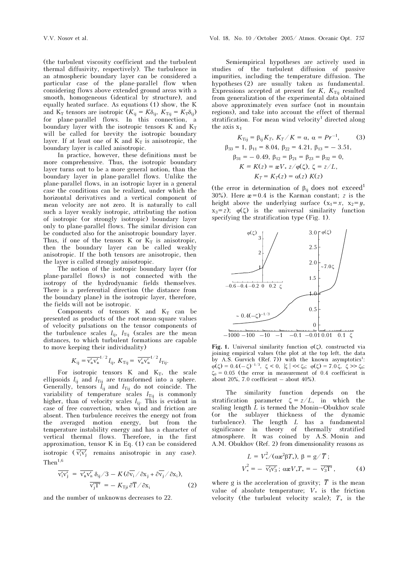(the turbulent viscosity coefficient and the turbulent thermal diffusivity, respectively). The turbulence in an atmospheric boundary layer can be considered a particular case of the plane-parallel flow when considering flows above extended ground areas with a smooth, homogeneous (identical by structure), and equally heated surface. As equations (1) show, the K and  $K_T$  tensors are isotropic  $(K_{ij} = K\delta_{ij}, K_{Tij} = K_T\delta_{ij})$ for plane-parallel flows. In this connection, a boundary layer with the isotropic tensors  $K$  and  $K_T$ will be called for brevity the isotropic boundary layer. If at least one of K and  $K_T$  is anisotropic, the boundary layer is called anisotropic.

In practice, however, these definitions must be more comprehensive. Thus, the isotropic boundary layer turns out to be a more general notion, than the boundary layer in plane-parallel flows. Unlike the plane-parallel flows, in an isotropic layer in a general case the conditions can be realized, under which the horizontal derivatives and a vertical component of mean velocity are not zero. It is naturally to call such a layer weakly isotropic, attributing the notion of isotropic (or strongly isotropic) boundary layer only to plane-parallel flows. The similar division can be conducted also for the anisotropic boundary layer. Thus, if one of the tensors  $K$  or  $K_T$  is anisotropic, then the boundary layer can be called weakly anisotropic. If the both tensors are anisotropic, then the layer is called strongly anisotropic.

The notion of the isotropic boundary layer (for plane-parallel flows) is not connected with the isotropy of the hydrodynamic fields themselves. There is a preferential direction (the distance from the boundary plane) in the isotropic layer, therefore, the fields will not be isotropic.

Components of tensors  $K$  and  $K_T$  can be presented as products of the root-mean-square values of velocity pulsations on the tensor components of the turbulence scales  $l_{ij}$ ,  $l_{Tij}$  (scales are the mean distances, to which turbulent formations are capable

to move keeping their individuality)  
\n
$$
K_{ij} = \overline{v'_n v'_n}^{1/2} l_{ij}, K_{Tij} = \overline{v'_n v'_n}^{1/2} l_{Tij}.
$$

For isotropic tensors K and  $K_T$ , the scale ellipsoids  $l_{ij}$  and  $l_{Tij}$  are transformed into a sphere. Generally, tensors  $l_{ij}$  and  $l_{Tij}$  do not coincide. The variability of temperature scales  $l_{\text{Tij}}$  is commonly higher, than of velocity scales  $l_{ij}$ . This is evident in case of free convection, when wind and friction are absent. Then turbulence receives the energy not from the averaged motion energy, but from the temperature instability energy and has a character of vertical thermal flows. Therefore, in the first approximation, tensor K in Eq. (1) can be considered isotropic  $(\overline{v'_i v'_i})$  remains anisotropic in any case).  $Then<sup>1,6</sup>$ 

$$
\overline{v'_{i}v'_{j}} = \overline{v'_{i}v'_{n}} \delta_{ij}/3 - K(\partial \overline{v_{i}}/\partial x_{j} + \partial \overline{v_{j}}/\partial x_{i}),
$$
  
\n
$$
\overline{v'_{j}T'} = -K_{Tji}\partial \overline{T}/\partial x_{i}
$$
 (2)

and the number of unknowns decreases to 22.

Semiempirical hypotheses are actively used in studies of the turbulent diffusion of passive impurities, including the temperature diffusion. The hypotheses (2) are usually taken as fundamental. Expressions accepted at present for  $K$ ,  $K<sub>Tii</sub>$  resulted from generalization of the experimental data obtained above approximately even surface (not in mountain regions), and take into account the effect of thermal stratification. For mean wind velocity<sup>1</sup> directed along the axis  $x_1$ 

$$
K_{\text{Tij}} = \beta_{\text{ij}} K_T, K_T / K = \alpha, \alpha = Pr^{-1}, \qquad (3)
$$
\n
$$
\beta_{33} = 1, \beta_{11} = 8.04, \beta_{22} = 4.21, \beta_{13} = -3.51, \beta_{31} = -0.49, \beta_{12} = \beta_{21} = \beta_{23} = \beta_{32} = 0, \qquad K = K(z) = \alpha V_* z / \varphi(\zeta), \zeta = z / L, \qquad K_T = K_T(z) = \alpha(z) K(z)
$$

(the error in determination of  $\beta_{ii}$  does not exceed<sup>1</sup> 30%). Here  $x=0.4$  is the Karman constant; z is the height above the underlying surface  $(x_1 = x, x_2 = y,$  $x_3 = z$ );  $\varphi(\zeta)$  is the universal similarity function specifying the stratification type (Fig. 1).



Fig. 1. Universal similarity function  $\varphi(\zeta)$ , constructed via joining empirical values (the plot at the top left, the data by A.S. Gurvich (Ref. 7)) with the known asymptotics<sup>1</sup>:  $\varphi(\zeta) = 0.4 \, (-\zeta)^{-1/3}, \, \zeta < 0, \, |\zeta| < \zeta_0; \, \varphi(\zeta) = 7.0 \, \zeta, \, \zeta \gg \zeta_0;$  $\zeta_0 = 0.05$  (the error in measurement of 0.4 coefficient is about 20%, 7.0 coefficient – about  $40\%$ ).

The similarity function depends on the stratification parameter  $\zeta = z/L$ , in which the scaling length  $L$  is termed the Monin–Obukhov scale (or the sublayer thickness of the dynamic turbulence). The length L has a fundamental significance in theory of thermally stratified atmosphere. It was coined by A.S. Monin and A.M. Obukhov (Ref. 2) from dimensionality reasons as

$$
L = V_{*}^{2} / (\alpha x^{2} \beta T_{*}), \beta = g / \overline{T};
$$
  

$$
V_{*}^{2} = - \overline{v_{1}'v_{3}}; \alpha x V_{*} T_{*} = - \overline{v_{3}'T'} , \qquad (4)
$$

where g is the acceleration of gravity;  $\overline{T}$  is the mean value of absolute temperature; V∗ is the friction velocity (the turbulent velocity scale); T∗ is the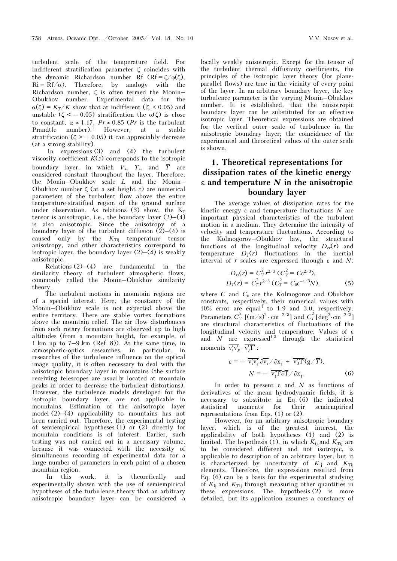turbulent scale of the temperature field. For indifferent stratification parameter ζ coincides with the dynamic Richardson number Rf  $(Rf = \zeta/\varphi(\zeta))$ ,  $Ri = Rf/\alpha$ . Therefore, by analogy with the Richardson number, ζ is often termed the Monin– Obukhov number. Experimental data for the  $\alpha(\zeta) = K_T/K$  show that at indifferent ( $|\zeta| \leq 0.05$ ) and unstable ( $\zeta < -0.05$ ) stratification the  $\alpha(\zeta)$  is close to constant,  $\alpha \approx 1.17$ ,  $Pr \approx 0.85$  (Pr is the turbulent Prandtle number).<sup>1</sup> However, at a stable stratification ( $\zeta > +0.05$ ) it can appreciably decrease (at a strong stability).

 In expressions (3) and (4) the turbulent viscosity coefficient  $K(z)$  corresponds to the isotropic boundary layer, in which  $V_*, T_*,$  and  $\overline{T}$  are considered constant throughout the layer. Therefore, the Monin–Obukhov scale L and the Monin– Obukhov number ζ (at a set height z) are numerical parameters of the turbulent flow above the entire temperature-stratified region of the ground surface under observation. As relations (3) show, the  $K_T$ tensor is anisotropic, i.e., the boundary layer  $(2)–(4)$ is also anisotropic. Since the anisotropy of a boundary layer of the turbulent diffusion  $(2)$ – $(4)$  is caused only by the  $K_{\text{Ti}}$  temperature tensor anisotropy, and other characteristics correspond to isotropic layer, the boundary layer  $(2)$ – $(4)$  is weakly anisotropic.

Relations  $(2)$ – $(4)$  are fundamental in the similarity theory of turbulent atmospheric flows, commonly called the Monin–Obukhov similarity theory.

The turbulent motions in mountain regions are of a special interest. Here, the constancy of the Monin–Obukhov scale is not expected above the entire territory. There are stable vortex formations above the mountain relief. The air flow disturbances from such rotary formations are observed up to high altitudes (from a mountain height, for example, of 1 km up to 7–9 km (Ref. 8)). At the same time, in atmospheric-optics researches, in particular, in researches of the turbulence influence on the optical image quality, it is often necessary to deal with the anisotropic boundary layer in mountains (the surface receiving telescopes are usually located at mountain peaks in order to decrease the turbulent distortions). However, the turbulence models developed for the isotropic boundary layer, are not applicable in mountains. Estimation of the anisotropic layer model (2)–(4) applicability to mountains has not been carried out. Therefore, the experimental testing of semiempirical hypotheses (1) or (2) directly for mountain conditions is of interest. Earlier, such testing was not carried out in a necessary volume, because it was connected with the necessity of simultaneous recording of experimental data for a large number of parameters in each point of a chosen mountain region.

In this work, it is theoretically and experimentally shown with the use of semiempirical hypotheses of the turbulence theory that an arbitrary anisotropic boundary layer can be considered a locally weakly anisotropic. Except for the tensor of the turbulent thermal diffusivity coefficients, the principles of the isotropic layer theory (for planeparallel flows) are true in the vicinity of every point of the layer. In an arbitrary boundary layer, the key turbulence parameter is the varying Monin–Obukhov number. It is established, that the anisotropic boundary layer can be substituted for an effective isotropic layer. Theoretical expressions are obtained for the vertical outer scale of turbulence in the anisotropic boundary layer; the coincidence of the experimental and theoretical values of the outer scale is shown.

## 1. Theoretical representations for dissipation rates of the kinetic energy  $\epsilon$  and temperature N in the anisotropic boundary layer

The average values of dissipation rates for the kinetic energy ε and temperature fluctuations  $N$  are important physical characteristics of the turbulent motion in a medium. They determine the intensity of velocity and temperature fluctuations. According to the Kolmogorov–Obukhov law, the structural functions of the longitudinal velocity  $D_r(r)$  and temperature  $D_T(r)$  fluctuations in the inertial interval of r scales are expressed through  $\varepsilon$  and  $N$ :

$$
D_{rr}(r) = C_V^2 r^{2/3} (C_V^2 = C \varepsilon^{2/3}),
$$
  
\n
$$
D_T(r) = C_T^2 r^{2/3} (C_T^2 = C_0 \varepsilon^{-1/3} N),
$$
\n(5)

where  $C$  and  $C_{\theta}$  are the Kolmogorov and Obukhov constants, respectively, their numerical values with  $10\%$  error are equal<sup>1</sup> to 1.9 and 3.0, respectively. 10% error are equal<sup>1</sup> to 1.9 and 3.0, respectively.<br>Parameters  $C_V^2$  [(m/s)<sup>2</sup> ⋅ cm<sup>-2/3</sup>] and  $C_T^2$  [deg<sup>2</sup>⋅cm<sup>-2/3</sup>] are structural characteristics of fluctuations of the longitudinal velocity and temperature. Values of ε and N are expressed<sup>1,3</sup> through the statistical moments  $\frac{\overline{V}_i V_i}{\overline{V}_i T}$ . and  $N$  are expres<br>moments  $\overline{v'_i v'_j}$ ,  $\overline{v'_j T'}$ :

$$
\varepsilon = -\overline{v'_i v'_j} \frac{\partial v_i}{\partial v_i} / \frac{\partial x_j}{\partial x_j} + \overline{v'_3} \overline{T'}(g/\overline{T}),
$$
  

$$
N = -\overline{v'_j} \overline{T'} \frac{\partial \overline{T}}{\partial x_j}.
$$
 (6)

In order to present  $\varepsilon$  and  $N$  as functions of derivatives of the mean hydrodynamic fields, it is necessary to substitute in Eq. (6) the indicated statistical moments for their semiempirical representations from Eqs. (1) or (2).

However, for an arbitrary anisotropic boundary layer, which is of the greatest interest, the applicability of both hypotheses (1) and (2) is limited. The hypothesis (1), in which  $K_{ij}$  and  $K_{\text{Ti}}$  are to be considered different and not isotropic, is applicable to description of an arbitrary layer, but it is characterized by uncertainty of  $K_{ij}$  and  $K_{\text{Tij}}$ elements. Therefore, the expressions resulted from Eq. (6) can be a basis for the experimental studying of  $K_{ij}$  and  $K_{Tij}$  through measuring other quantities in these expressions. The hypothesis (2) is more detailed, but its application assumes a constancy of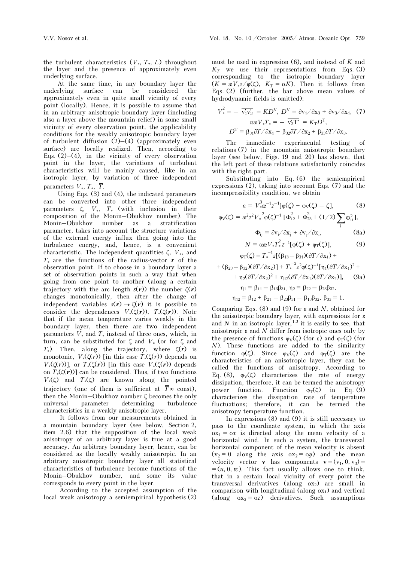the turbulent characteristics  $(V_*, T_*, L)$  throughout the layer and the presence of approximately even underlying surface.

At the same time, in any boundary layer the<br>rlying surface can be considered the underlying surface can be considered the approximately even in quite small vicinity of every point (locally). Hence, it is possible to assume that in an arbitrary anisotropic boundary layer (including also a layer above the mountain relief) in some small vicinity of every observation point, the applicability conditions for the weakly anisotropic boundary layer of turbulent diffusion  $(2)$ – $(4)$  (approximately even surface) are locally realized. Then, according to Eqs.  $(2)$ – $(4)$ , in the vicinity of every observation point in the layer, the variations of turbulent characteristics will be mainly caused, like in an isotropic layer, by variation of three independent parameters  $V_*, T_*, \overline{T}$ .

Using Eqs. (3) and (4), the indicated parameters can be converted into other three independent parameters  $\zeta$ ,  $V_*$ ,  $T_*$  (with inclusion in their composition of the Monin–Obukhov number). The Monin–Obukhov number as a stratification parameter, takes into account the structure variations of the external energy influx then going into the turbulence energy, and, hence, is a convenient characteristic. The independent quantities  $\zeta$ ,  $V_*$ , and T⋅ are the functions of the radius-vector  $\boldsymbol{r}$  of the observation point. If to choose in a boundary layer a set of observation points in such a way that when going from one point to another (along a certain trajectory with the arc length  $s(r)$ ) the number  $\zeta(r)$ changes monotonically, then after the change of independent variables  $s(r) \rightarrow \zeta(r)$  it is possible to consider the dependences  $V_*(\zeta(r))$ ,  $T_*(\zeta(r))$ . Note that if the mean temperature varies weakly in the boundary layer, then there are two independent parameters  $V_*$  and  $T_*$  instead of three ones, which, in turn, can be substituted for ζ and  $V_*$  (or for ζ and  $T_*$ ). Then, along the trajectory, where  $\zeta(r)$  is monotonic,  $V_*(\zeta(r))$  [in this case  $T_*(\zeta(r))$  depends on  $V_*(\zeta(r))$ ], or  $T_*(\zeta(r))$  [in this case  $V_*(\zeta(r))$  depends on  $T_*(\zeta(r))$  can be considered. Thus, if two functions  $V_*(\zeta)$  and  $T_*(\zeta)$  are known along the pointed trajectory (one of them is sufficient at  $\overline{T} \approx$  const). then the Monin–Obukhov number ζ becomes the only<br>universal parameter determining turbulence universal parameter determining turbulence characteristics in a weakly anisotropic layer.

 It follows from our measurements obtained in a mountain boundary layer (see below, Section 2, item 2.6) that the supposition of the local weak anisotropy of an arbitrary layer is true at a good accuracy. An arbitrary boundary layer, hence, can be considered as the locally weakly anisotropic. In an arbitrary anisotropic boundary layer all statistical characteristics of turbulence become functions of the Monin–Obukhov number, and some its value corresponds to every point in the layer.

 According to the accepted assumption of the local weak anisotropy a semiempirical hypothesis (2) must be used in expression  $(6)$ , and instead of  $K$  and  $K<sub>T</sub>$  we use their representations from Eqs. (3) corresponding to the isotropic boundary layer  $(K = \frac{\alpha V}{2} / \frac{\alpha(\zeta)}{K}$ ,  $K_T = \alpha K$ ). Then it follows from Eqs. (2) (further, the bar above mean values of

hydrodynamic fields is omitted):  
\n
$$
V_*^2 = - \overline{v_1'v_3'} = KD^V, D^V = \partial v_1 / \partial x_3 + \partial v_3 / \partial x_1, (7)
$$
\n
$$
\alpha x V_* T_* = - \overline{v_3' T'} = K_T D^T,
$$
\n
$$
D^T = \beta_{31} \partial T / \partial x_1 + \beta_{32} \partial T / \partial x_2 + \beta_{33} \partial T / \partial x_3.
$$

The immediate experimental testing of relations (7) in the mountain anisotropic boundary layer (see below, Figs. 19 and 20) has shown, that the left part of these relations satisfactorily coincides with the right part.

Substituting into Eq. (6) the semiempirical expressions (2), taking into account Eqs. (7) and the incompressibility condition, we obtain

$$
\varepsilon = V_{*}^{3} \mathbf{z}^{-1} z^{-1} [\varphi(\zeta) + \varphi_{V}(\zeta) - \zeta], \qquad (8)
$$
  

$$
\varphi_{V}(\zeta) = \mathbf{z}^{2} z^{2} V_{*}^{-2} \varphi(\zeta)^{-1} [\Phi_{12}^{2} + \Phi_{23}^{2} + (1/2) \sum_{i} \Phi_{ii}^{2}],
$$
  

$$
\Phi_{ij} = \partial v_{i} / \partial x_{j} + \partial v_{j} / \partial x_{i}, \qquad (8a)
$$

$$
N = \alpha x V_* T_*^2 z^{-1} [\varphi(\zeta) + \varphi_T(\zeta)], \tag{9}
$$

$$
\varphi_{T}(\zeta) = T_{*}^{-1} z [(\beta_{13} - \beta_{31})(\partial T / \partial x_{1}) ++ (\beta_{23} - \beta_{32})(\partial T / \partial x_{2})] + T_{*}^{-2} z^{2} \varphi(\zeta)^{-1} [\eta_{1}(\partial T / \partial x_{1})^{2} ++ \eta_{2}(\partial T / \partial x_{2})^{2} + \eta_{12}(\partial T / \partial x_{1})(\partial T / \partial x_{2})], \quad (9a)\eta_{1} = \beta_{11} - \beta_{13}\beta_{31}, \eta_{2} = \beta_{22} - \beta_{23}\beta_{32},
$$

$$
\eta_{12} = \beta_{12} + \beta_{21} - \beta_{23}\beta_{31} - \beta_{13}\beta_{32}, \ \beta_{33} = 1.
$$

Comparing Eqs. (8) and (9) for  $\varepsilon$  and N, obtained for the anisotropic boundary layer, with expressions for ε and  $N$  in an isotropic layer,  $^{1,3}$  it is easily to see, that anisotropic ε and  $N$  differ from isotropic ones only by the presence of functions  $φ_V(\zeta)$  (for ε) and  $φ_T(\zeta)$  (for N). These functions are added to the similarity function  $\varphi(\zeta)$ . Since  $\varphi_V(\zeta)$  and  $\varphi_T(\zeta)$  are the characteristics of an anisotropic layer, they can be called the functions of anisotropy. According to Eq. (8),  $\varphi_V(\zeta)$  characterizes the rate of energy dissipation, therefore, it can be termed the anisotropy power function. Function  $\varphi_T(\zeta)$  in Eq. (9) characterizes the dissipation rate of temperature fluctuations; therefore, it can be termed the anisotropy temperature function.

In expressions (8) and (9) it is still necessary to pass to the coordinate system, in which the axis  $\alpha x_1 = \alpha x$  is directed along the mean velocity of a horizontal wind. In such a system, the transversal horizontal component of the mean velocity is absent  $(v_2 = 0$  along the axis  $ox_2 = 0y$  and the mean velocity vector **v** has components  $\mathbf{v} = (v_1, 0, v_3) =$  $=(u, 0, w)$ . This fact usually allows one to think, that in a certain local vicinity of every point the transversal derivatives (along  $\alpha x_2$ ) are small in comparison with longitudinal (along  $\alpha x_1$ ) and vertical (along  $ox_3 = oz$ ) derivatives. Such assumptions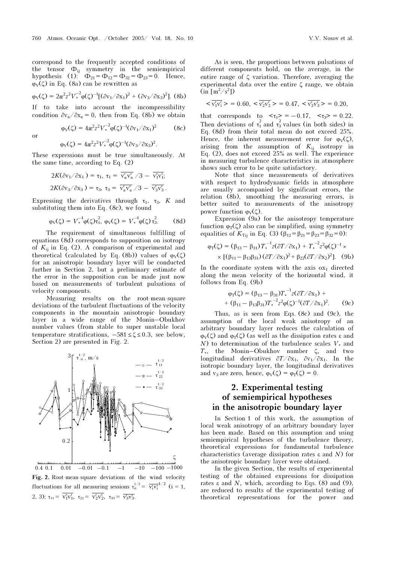correspond to the frequently accepted conditions of the tensor  $\Phi_{ij}$  symmetry in the semiempirical hypothesis (1):  $\Phi_{21} = \Phi_{12} = \Phi_{32} = \Phi_{23} = 0$ . Hence,  $\varphi_V(\zeta)$  in Eq. (8a) can be rewritten as

$$
\varphi_V(\zeta) = 2\alpha^2 z^2 V_*^{-2} \varphi(\zeta)^{-1} [(\partial v_1 / \partial x_1)^2 + (\partial v_3 / \partial x_3)^2].
$$
 (8b)

If to take into account the incompressibility condition  $\partial v_n / \partial x_n = 0$ , then from Eq. (8b) we obtain

 $\varphi_V(\zeta) = 4\alpha^2 z^2 V_*^{-2} \varphi(\zeta)^{-1} (\partial v_1 / \partial x_1)$  $(8c)$ or  $\varphi_V(\zeta) = 4\omega^2 z^2 V_*^{-2} \varphi(\zeta)^{-1} (\partial v_3 / \partial x_3)^2$ .

These expressions must be true simultaneously. At

the same time, according to Eq. (2)  
\n
$$
2K(\partial v_1/\partial x_1) = \tau_1, \ \tau_1 = \overline{v'_n v'_n}/3 - \overline{v'_1 v'_1};
$$
\n
$$
2K(\partial v_3/\partial x_3) = \tau_3, \ \tau_3 = \overline{v'_n v'_n}/3 - \overline{v'_3 v'_3}.
$$

Expressing the derivatives through  $\tau_1$ ,  $\tau_3$ , K and substituting them into Eq. (8c), we found

$$
\varphi_V(\zeta) = V_*^{-4} \varphi(\zeta) \tau_1^2, \, \varphi_V(\zeta) = V_*^{-4} \varphi(\zeta) \tau_3^2. \qquad (8d)
$$

The requirement of simultaneous fulfilling of equations (8d) corresponds to supposition on isotropy of  $K_{ii}$  in Eq. (2). A comparison of experimental and theoretical (calculated by Eq. (8b)) values of  $\varphi_V(\zeta)$ for an anisotropic boundary layer will be conducted further in Section 2, but a preliminary estimate of the error in the supposition can be made just now based on measurements of turbulent pulsations of velocity components.

Measuring results on the root-mean-square deviations of the turbulent fluctuations of the velocity components in the mountain anisotropic boundary layer in a wide range of the Monin–Obukhov number values (from stable to super unstable local temperature stratifications,  $-581 \le \zeta \le 0.3$ , see below, Section 2) are presented in Fig. 2.



$$
\begin{aligned} \n\text{(in [m / s J)}\\ \n& \nabla_1' v_1' > 0.60, \n& \nabla_2' v_2' > 0.47, \n& \nabla_3' v_3' > 0.20, \n\end{aligned}
$$

that corresponds to  $\langle \tau_1 \rangle = -0.17$ ,  $\langle \tau_3 \rangle = 0.22$ . Then deviations of  $\tau_1^2$  and  $\tau_3^2$  values (in both sides) in Eq. (8d) from their total mean do not exceed 25%. Hence, the inherent measurement error for  $\varphi_V(\zeta)$ , arising from the assumption of  $K_{ij}$  isotropy in Eq. (2), does not exceed 25% as well. The experience in measuring turbulence characteristics in atmosphere shows such error to be quite satisfactory.

Note that since measurements of derivatives with respect to hydrodynamic fields in atmosphere are usually accompanied by significant errors, the relation (8b), smoothing the measuring errors, is better suited to measurements of the anisotropy power function  $\varphi_V(\zeta)$ .

Expression (9a) for the anisotropy temperature function  $\varphi_T(\zeta)$  also can be simplified, using symmetry equalities of  $K_{Tij}$  in Eq. (3)  $(\beta_{12} = \beta_{21} = \beta_{23} = \beta_{32} = 0)$ :

$$
\varphi_T(\zeta) = (\beta_{13} - \beta_{31}) T_*^{-1} z (\partial T / \partial x_1) + T_*^{-2} z^2 \varphi(\zeta)^{-1} \times
$$
  
 
$$
\times [(\beta_{11} - \beta_{13} \beta_{31}) (\partial T / \partial x_1)^2 + \beta_{22} (\partial T / \partial x_2)^2].
$$
 (9b)

In the coordinate system with the axis  $\alpha x_1$  directed along the mean velocity of the horizontal wind, it follows from Eq. (9b)

$$
\varphi_T(\zeta) = (\beta_{13} - \beta_{31})T_*^{-1} z(\partial T/\partial x_1) +
$$
  
+ (\beta\_{11} - \beta\_{13}\beta\_{31})T\_\*^{-2} z^2 \varphi(\zeta)^{-1}(\partial T/\partial x\_1)^2. (9c)

Thus, as is seen from Eqs.  $(8c)$  and  $(9c)$ , the assumption of the local weak anisotropy of an arbitrary boundary layer reduces the calculation of  $\varphi_V(\zeta)$  and  $\varphi_T(\zeta)$  (as well as the dissipation rates  $\varepsilon$  and  $N$ ) to determination of the turbulence scales  $V_*$  and  $T_*$ , the Monin–Obukhov number  $\zeta$ , and two longitudinal derivatives  $\frac{\partial T}{\partial x_1}$ ,  $\frac{\partial v_1}{\partial x_1}$ . In the isotropic boundary layer, the longitudinal derivatives and v<sub>3</sub> are zero, hence,  $\varphi_V(\zeta) = \varphi_T(\zeta) = 0$ .

## 2. Experimental testing of semiempirical hypotheses in the anisotropic boundary layer

In Section 1 of this work, the assumption of local weak anisotropy of an arbitrary boundary layer has been made. Based on this assumption and using semiempirical hypotheses of the turbulence theory, theoretical expressions for fundamental turbulence characteristics (average dissipation rates ε and N) for the anisotropic boundary layer were obtained.

In the given Section, the results of experimental testing of the obtained expressions for dissipation rates ε and N, which, according to Eqs. (8) and (9), are reduced to results of the experimental testing of theoretical representations for the power and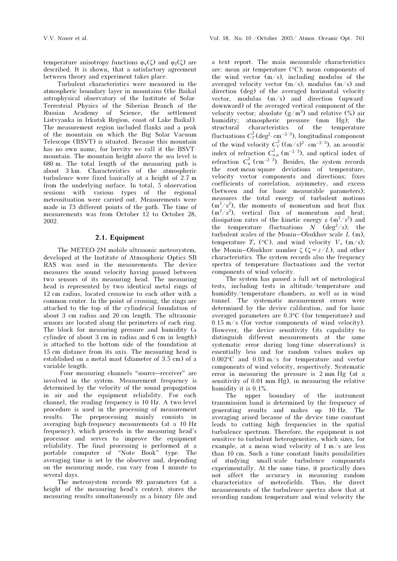temperature anisotropy functions  $\varphi_V(\zeta)$  and  $\varphi_T(\zeta)$  are described. It is shown, that a satisfactory agreement between theory and experiment takes place.

Turbulent characteristics were measured in the atmospheric boundary layer in mountains (the Baikal astrophysical observatory of the Institute of Solar-Terrestrial Physics of the Siberian Branch of the Russian Academy of Science, the settlement Listvyanka in Irkutsk Region, coast of Lake Baikal). The measurement region included flanks and a peak of the mountain on which the Big Solar Vacuum Telescope (BSVT) is situated. Because this mountain has no own name, for brevity we call it the BSVTmountain. The mountain height above the sea level is 680 m. The total length of the measuring path is about 3 km. Characteristics of the atmospheric turbulence were fixed basically at a height of 2.7 m from the underlying surface. In total, 5 observation sessions with various types of the regional meteosituation were carried out. Measurements were made in 73 different points of the path. The time of measurements was from October 12 to October 28, 2002.

#### 2.1. Equipment

The METEO-2M mobile ultrasonic meteosystem, developed at the Institute of Atmospheric Optics SB RAS was used in the measurements. The device measures the sound velocity having passed between two sensors of its measuring head. The measuring head is represented by two identical metal rings of 12 cm radius, located crosswise to each other with a common center. In the point of crossing, the rings are attached to the top of the cylindrical foundation of about 3 cm radius and 20 cm length. The ultrasonic sensors are located along the perimeters of each ring. The block for measuring pressure and humidity (a cylinder of about 3 cm in radius and 6 cm in length) is attached to the bottom side of the foundation at 15 cm distance from its axis. The measuring head is established on a metal mast (diameter of 3.5 cm) of a variable length.

 Four measuring channels "source–receiver" are involved in the system. Measurement frequency is determined by the velocity of the sound propagation in air and the equipment reliability. For each channel, the reading frequency is 10 Hz. A two-level procedure is used in the processing of measurement results. The preprocessing mainly consists in averaging high-frequency measurements (at a 10 Hz frequency), which proceeds in the measuring head's processor and serves to improve the equipment reliability. The final processing is performed at a portable computer of "Note Book" type. The averaging time is set by the observer and, depending on the measuring mode, can vary from 1 minute to several days.

The meteosystem records 89 parameters (at a height of the measuring head's center), stores the measuring results simultaneously as a binary file and

a text report. The main measurable characteristics are: mean air temperature  $({}^{\circ}C)$ ; mean components of the wind vector  $(m/s)$ , including modulus of the averaged velocity vector  $(m/s)$ , modulus  $(m/s)$  and direction (deg) of the averaged horizontal velocity vector, modulus (m/s) and direction (upwarddownward) of the averaged vertical component of the velocity vector; absolute  $(g/m^3)$  and relative  $(\%)$  air humidity; atmospheric pressure (mm Hg); the structural characteristics of the temperature fluctuations  $C_T^2$ (deg<sup>2</sup>·cm<sup>-2/3</sup>), longitudinal component of the wind velocity  $C_V^2((m/s)^2 \cdot cm^{-2/3})$ , an acoustic index of refraction  $C_{n,a}^2$  (m<sup>-2/3</sup>), and optical index of refraction  $C_n^2$  (cm<sup>-2/3</sup>). Besides, the system records the root-mean-square deviations of temperature, velocity vector components and directions; fixes coefficients of correlation, asymmetry, and excess (between and for basic measurable parameters); measures the total energy of turbulent motions  $(m^2/s^2)$ , the moments of momentum and heat flux  $(m^2/s^2)$ , vertical flux of momentum and heat; dissipation rates of the kinetic energy  $\varepsilon$  (m<sup>2</sup>/s<sup>2</sup>) and the temperature fluctuations  $N$  (deg<sup>2</sup>/s); the turbulent scales of the Monin–Obukhov scale L (m), temperature  $T_*$  (°C), and wind velocity  $V_*$  (m/s); the Monin–Obukhov number  $\zeta$  ( $\zeta = z/L$ ), and other characteristics. The system records also the frequency spectra of temperature fluctuations and the vector components of wind velocity.

The system has passed a full set of metrological tests, including tests in altitude/temperature and humidity/temperature chambers, as well as in wind tunnel. The systematic measurement errors were determined by the device calibration, and for basic averaged parameters are  $0.3$ °C (for temperature) and 0.15 m/s (for vector components of wind velocity). However, the device sensitivity (its capability to distinguish different measurements at the same systematic error during long-time observations) is essentially less and for random values makes up 0.002 $\degree$ C and 0.03 m/s for temperature and vector components of wind velocity, respectively. Systematic error in measuring the pressure is 2 mm Hg (at a sensitivity of 0.01 mm Hg), in measuring the relative humidity it is 0.1%.

The upper boundary of the instrument transmission band is determined by the frequency of generating results and makes up 10 Hz. The averaging arised because of the device time constant leads to cutting high frequencies in the spatial turbulence spectrum. Therefore, the equipment is not sensitive to turbulent heterogeneities, which sizes, for example, at a mean wind velocity of 1 m/s are less than 10 cm. Such a time constant limits possibilities of studying small-scale turbulence components experimentally. At the same time, it practically does not affect the accuracy in measuring random characteristics of meteofields. Thus, the direct measurements of the turbulence spectra show that at recording random temperature and wind velocity the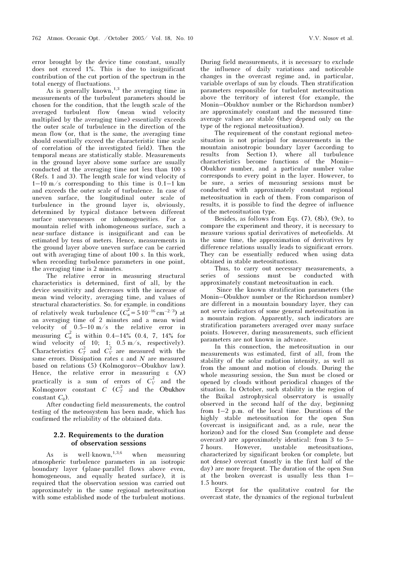error brought by the device time constant, usually does not exceed 1%. This is due to insignificant contribution of the cut portion of the spectrum in the total energy of fluctuations.

As is generally known,<sup>1,3</sup> the averaging time in measurements of the turbulent parameters should be chosen for the condition, that the length scale of the averaged turbulent flow (mean wind velocity multiplied by the averaging time) essentially exceeds the outer scale of turbulence in the direction of the mean flow (or, that is the same, the averaging time should essentially exceed the characteristic time scale of correlation of the investigated field). Then the temporal means are statistically stable. Measurements in the ground layer above some surface are usually conducted at the averaging time not less than 100 s (Refs. 1 and 3). The length scale for wind velocity of  $1-10$  m/s corresponding to this time is  $0.1-1$  km and exceeds the outer scale of turbulence. In case of uneven surface, the longitudinal outer scale of turbulence in the ground layer is, obviously, determined by typical distance between different surface unevennesses or inhomogeneities. For a mountain relief with inhomogeneous surface, such a near-surface distance is insignificant and can be estimated by tens of meters. Hence, measurements in the ground layer above uneven surface can be carried out with averaging time of about 100 s. In this work, when recording turbulence parameters in one point, the averaging time is 2 minutes.

The relative error in measuring structural characteristics is determined, first of all, by the device sensitivity and decreases with the increase of mean wind velocity, averaging time, and values of structural characteristics. So, for example, in conditions of relatively weak turbulence  $(C_n^2 = 5.10^{-16} \text{ cm}^{-2/3})$  at an averaging time of 2 minutes and a mean wind velocity of 0.5–10 m/s the relative error in measuring  $C_n^2$  is within 0.4–14% (0.4, 7, 14% for wind velocity of 10; 1; 0.5 m/s, respectively). Characteristics  $C_T^2$  and  $C_V^2$  are measured with the same errors. Dissipation rates  $\varepsilon$  and N are measured based on relations (5) (Kolmogorov–Obukhov law). Hence, the relative error in measuring  $\varepsilon$  (N) practically is a sum of errors of  $C_V^2$  and the Kolmogorov constant C  $(C_T^2)$  and the Obukhov constant  $C_{\theta}$ ).

After conducting field measurements, the control testing of the meteosystem has been made, which has confirmed the reliability of the obtained data.

### 2.2. Requirements to the duration of observation sessions

As is well-known,  $1,3,6$  when measuring atmospheric turbulence parameters in an isotropic boundary layer (plane-parallel flows above even, homogeneous, and equally heated surface), it is required that the observation session was carried out approximately in the same regional meteosituation with some established mode of the turbulent motions. During field measurements, it is necessary to exclude the influence of daily variations and noticeable changes in the overcast regime and, in particular, variable overlaps of sun by clouds. Then stratification parameters responsible for turbulent meteosituation above the territory of interest (for example, the Monin–Obukhov number or the Richardson number) are approximately constant and the measured timeaverage values are stable (they depend only on the type of the regional meteosituation).

The requirement of the constant regional meteosituation is not principal for measurements in the mountain anisotropic boundary layer (according to results from Section 1), where all turbulence characteristics become functions of the Monin– Obukhov number, and a particular number value corresponds to every point in the layer. However, to be sure, a series of measuring sessions must be conducted with approximately constant regional meteosituation in each of them. From comparison of results, it is possible to find the degree of influence of the meteosituation type.

Besides, as follows from Eqs.  $(7)$ ,  $(8b)$ ,  $(9c)$ , to compare the experiment and theory, it is necessary to measure various spatial derivatives of meteofields. At the same time, the approximation of derivatives by difference relations usually leads to significant errors. They can be essentially reduced when using data obtained in stable meteosituations.

Thus, to carry out necessary measurements, a series of sessions must be conducted with approximately constant meteosituation in each.

 Since the known stratification parameters (the Monin–Obukhov number or the Richardson number) are different in a mountain boundary layer, they can not serve indicators of some general meteosituation in a mountain region. Apparently, such indicators are stratification parameters averaged over many surface points. However, during measurements, such efficient parameters are not known in advance.

In this connection, the meteosituation in our measurements was estimated, first of all, from the stability of the solar radiation intensity, as well as from the amount and motion of clouds. During the whole measuring session, the Sun must be closed or opened by clouds without periodical changes of the situation. In October, such stability in the region of the Baikal astrophysical observatory is usually observed in the second half of the day, beginning from 1–2 p.m. of the local time. Durations of the highly stable meteosituation for the open Sun (overcast is insignificant and, as a rule, near the horizon) and for the closed Sun (complete and dense overcast) are approximately identical: from 3 to 5– 7 hours. However, unstable meteosituations, characterized by significant broken (or complete, but not dense) overcast (mostly in the first half of the day) are more frequent. The duration of the open Sun at the broken overcast is usually less than 1– 1.5 hours.

Except for the qualitative control for the overcast state, the dynamics of the regional turbulent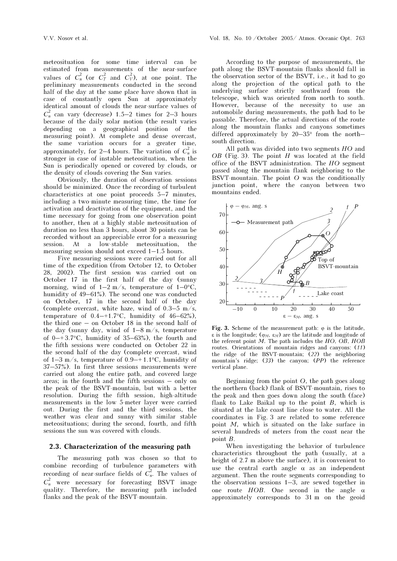meteosituation for some time interval can be estimated from measurements of the near-surface values of  $C_n^2$  (or  $C_T^2$  and  $C_V^2$ ), at one point. The preliminary measurements conducted in the second half of the day at the same place have shown that in case of constantly open Sun at approximately identical amount of clouds the near-surface values of  $C_n^2$  can vary (decrease) 1.5–2 times for 2–3 hours because of the daily solar motion (the result varies depending on a geographical position of the measuring point). At complete and dense overcast, the same variation occurs for a greater time, approximately, for 2–4 hours. The variation of  $C_n^2$  is stronger in case of instable meteosituation, when the Sun is periodically opened or covered by clouds, or the density of clouds covering the Sun varies.

Obviously, the duration of observation sessions should be minimized. Once the recording of turbulent characteristics at one point proceeds 5–7 minutes, including a two-minute measuring time, the time for activation and deactivation of the equipment, and the time necessary for going from one observation point to another, then at a highly stable meteosituation of duration no less than 3 hours, about 30 points can be recorded without an appreciable error for a measuring session. At a low-stable meteosituation, the measuring session should not exceed 1–1.5 hours.

Five measuring sessions were carried out for all time of the expedition (from October 12, to October 28, 2002). The first session was carried out on October 17 in the first half of the day (sunny morning, wind of  $1-2$  m/s, temperature of  $1-0$ °C, humidity of 49–61%). The second one was conducted on October, 17 in the second half of the day (complete overcast, white haze, wind of  $0.3-5$  m/s, temperature of  $0.4-1.7$ °C, humidity of  $46-62%$ ), the third one – on October 18 in the second half of the day (sunny day, wind of  $1-8$  m/s, temperature of  $0$ –+3.7 $\degree$ C, humidity of 35–63%), the fourth and the fifth sessions were conducted on October 22 in the second half of the day (complete overcast, wind of  $1-3$  m/s, temperature of  $0.9-+1.1$ °C, humidity of 37–57%). In first three sessions measurements were carried out along the entire path, and covered large areas; in the fourth and the fifth sessions – only on the peak of the BSVT-mountain, but with a better resolution. During the fifth session, high-altitude measurements in the low 5-meter layer were carried out. During the first and the third sessions, the weather was clear and sunny with similar stable meteosituations; during the second, fourth, and fifth sessions the sun was covered with clouds.

#### 2.3. Characterization of the measuring path

The measuring path was chosen so that to combine recording of turbulence parameters with recording of near-surface fields of  $C_n^2$ . The values of  $C_n^2$  were necessary for forecasting BSVT image quality. Therefore, the measuring path included flanks and the peak of the BSVT-mountain.

According to the purpose of measurements, the path along the BSVT-mountain flanks should fall in the observation sector of the BSVT, i.e., it had to go along the projection of the optical path to the underlying surface strictly southward from the telescope, which was oriented from north to south. However, because of the necessity to use an automobile during measurements, the path had to be passable. Therefore, the actual directions of the route along the mountain flanks and canyons sometimes differed approximately by 20–35° from the north– south direction.

All path was divided into two segments HO and  $OB$  (Fig. 3). The point  $H$  was located at the field office of the BSVT administration. The HO segment passed along the mountain flank neighboring to the BSVT-mountain. The point  $O$  was the conditionally junction point, where the canyon between two mountains ended.



Fig. 3. Scheme of the measurement path:  $\varphi$  is the latitude, ε is the longitude; ( $φ_M$ ,  $ε_M$ ) are the latitude and longitude of the referent point  $M$ . The path includes the  $HO$ ,  $OB$ ,  $HOB$ routes. Orientations of mountain ridges and canyons:  $(11)$ the ridge of the BSVT-mountain; (22) the neighboring mountain's ridge; (33) the canyon; (PP) the reference vertical plane.

Beginning from the point O, the path goes along the northern (back) flank of BSVT-mountain, rises to the peak and then goes down along the south (face) flank to Lake Baikal up to the point  $B$ , which is situated at the lake coast line close to water. All the coordinates in Fig. 3 are related to some reference point M, which is situated on the lake surface in several hundreds of meters from the coast near the point B.

When investigating the behavior of turbulence characteristics throughout the path (usually, at a height of 2.7 m above the surface), it is convenient to use the central earth angle  $\alpha$  as an independent argument. Then the route segments corresponding to the observation sessions 1–3, are sewed together in one route  $HOB$ . One second in the angle  $\alpha$ approximately corresponds to 31 m on the geoid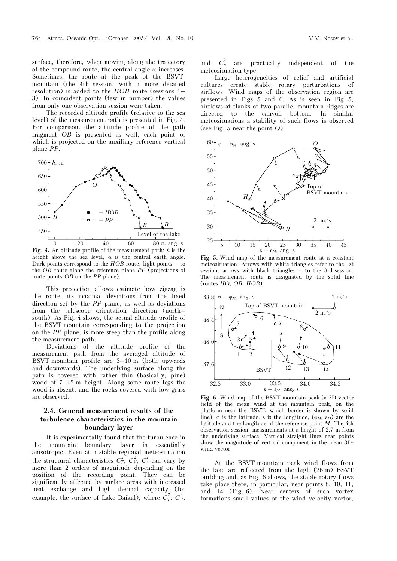surface, therefore, when moving along the trajectory of the compound route, the central angle  $\alpha$  increases. Sometimes, the route at the peak of the BSVTmountain (the 4th session, with a more detailed resolution) is added to the HOB route (sessions 1– 3). In coincident points (few in number) the values from only one observation session were taken.

The recorded altitude profile (relative to the sea level) of the measurement path is presented in Fig. 4. For comparison, the altitude profile of the path fragment OB is presented as well, each point of which is projected on the auxiliary reference vertical plane PP.



Fig. 4. An altitude profile of the measurement path:  $h$  is the height above the sequence is the central earth angle height above the sea level,  $\alpha$  is the central earth angle. Dark points correspond to the  $HOB$  route, light points  $-$  to the OB route along the reference plane PP (projections of route points *OB* on the *PP* plane).

This projection allows estimate how zigzag is the route, its maximal deviations from the fixed direction set by the PP plane, as well as deviations from the telescope orientation direction (north– south). As Fig. 4 shows, the actual altitude profile of the BSVT-mountain corresponding to the projection on the PP plane, is more steep than the profile along the measurement path.

Deviations of the altitude profile of the measurement path from the averaged altitude of BSVT-mountain profile are  $5-10$  m (both upwards and downwards). The underlying surface along the path is covered with rather thin (basically, pine) wood of 7–15 m height. Along some route legs the wood is absent, and the rocks covered with low grass are observed.

### 2.4. General measurement results of the turbulence characteristics in the mountain boundary layer

It is experimentally found that the turbulence in the mountain boundary layer is essentially anisotropic. Even at a stable regional meteosituation the structural characteristics  $C_T^2$ ,  $C_V^2$ ,  $C_n^2$  can vary by more than 2 orders of magnitude depending on the position of the recording point. They can be significantly affected by surface areas with increased heat exchange and high thermal capacity (for example, the surface of Lake Baikal), where  $C_T^2$ ,  $C_V^2$ ,

and  $C_n^2$ are practically independent of the meteosituation type.

Large heterogeneities of relief and artificial cultures create stable rotary perturbations of airflows. Wind maps of the observation region are presented in Figs. 5 and 6. As is seen in Fig. 5, airflows at flanks of two parallel mountain ridges are directed to the canyon bottom. In similar meteosituations a stability of such flows is observed (see Fig. 5 near the point O).



Fig. 5. Wind map of the measurement route at a constant meteosituation. Arrows with white triangles refer to the 1st session, arrows with black triangles – to the 3rd session. The measurement route is designated by the solid line (routes HO, OB, HOB).



Fig. 6. Wind map of the BSVT-mountain peak (a 3D vector field of the mean wind at the mountain peak, on the platform near the BSVT, which border is shown by solid line):  $\varphi$  is the latitude,  $\varepsilon$  is the longitude,  $(\varphi_M, \varepsilon_M)$  are the latitude and the longitude of the reference point  $M$ . The 4th observation session, measurements at a height of 2.7 m from the underlying surface. Vertical straight lines near points show the magnitude of vertical component in the mean 3Dwind vector.

At the BSVT-mountain peak wind flows from the lake are reflected from the high (26 m) BSVT building and, as Fig. 6 shows, the stable rotary flows take place there, in particular, near points 8, 10, 11, and 14 (Fig. 6). Near centers of such vortex formations small values of the wind velocity vector,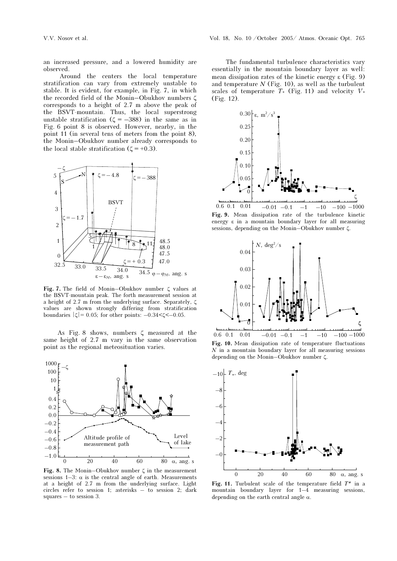an increased pressure, and a lowered humidity are observed.

 Around the centers the local temperature stratification can vary from extremely unstable to stable. It is evident, for example, in Fig. 7, in which the recorded field of the Monin–Obukhov numbers ζ corresponds to a height of 2.7 m above the peak of the BSVT-mountain. Thus, the local superstrong unstable stratification ( $\zeta = -388$ ) in the same as in Fig. 6 point 8 is observed. However, nearby, in the point 11 (in several tens of meters from the point 8), the Monin–Obukhov number already corresponds to the local stable stratification ( $\zeta$  = +0.3).



Fig. 7. The field of Monin–Obukhov number ζ values at the BSVT-mountain peak. The forth measurement session at a height of 2.7 m from the underlying surface. Separately, ζ values are shown strongly differing from stratification boundaries  $|\zeta| = 0.05$ ; for other points:  $-0.34 < \zeta < -0.05$ .

As Fig. 8 shows, numbers ζ measured at the same height of 2.7 m vary in the same observation point as the regional meteosituation varies.



Fig. 8. The Monin–Obukhov number  $\zeta$  in the measurement sessions  $1-3$ :  $\alpha$  is the central angle of earth. Measurements at a height of 2.7 m from the underlying surface. Light circles refer to session 1; asterisks – to session 2; dark squares – to session 3.

The fundamental turbulence characteristics vary essentially in the mountain boundary layer as well: mean dissipation rates of the kinetic energy ε (Fig. 9) and temperature  $N$  (Fig. 10), as well as the turbulent scales of temperature  $T^*$  (Fig. 11) and velocity  $V^*$ (Fig. 12).



Fig. 9. Mean dissipation rate of the turbulence kinetic energy ε in a mountain boundary layer for all measuring sessions, depending on the Monin–Obukhov number ζ.



Fig. 10. Mean dissipation rate of temperature fluctuations  $N$  in a mountain boundary layer for all measuring sessions depending on the Monin–Obukhov number ζ.



Fig. 11. Turbulent scale of the temperature field  $T^*$  in a mountain boundary layer for 1–4 measuring sessions, depending on the earth central angle  $\alpha$ .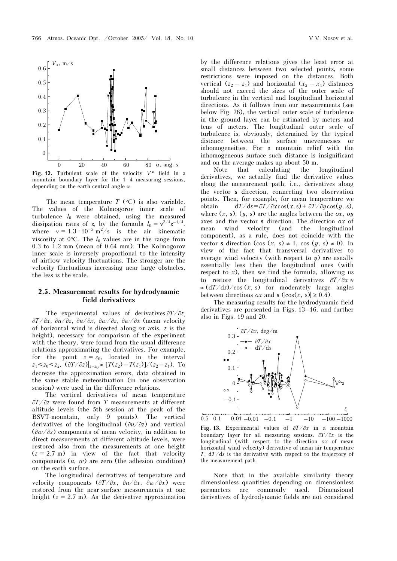

Fig. 12. Turbulent scale of the velocity  $V^*$  field in a mountain boundary layer for the 1–4 measuring sessions mountain boundary layer for the 1–4 measuring sessions, depending on the earth central angle  $\alpha$ .

The mean temperature  $T$  (°C) is also variable. The values of the Kolmogorov inner scale of turbulence  $l_0$  were obtained, using the measured dissipation rates of  $\varepsilon$ , by the formula  $l_0 = v^{3/4} \varepsilon^{-1/4}$ , where  $v = 1.3 \cdot 10^{-5} \text{ m}^2/\text{s}$  is the air kinematic viscosity at  $0^{\circ}$ C. The  $l_0$  values are in the range from 0.3 to 1.2 mm (mean of 0.64 mm). The Kolmogorov inner scale is inversely proportional to the intensity of airflow velocity fluctuations. The stronger are the velocity fluctuations increasing near large obstacles, the less is the scale.

#### 2.5. Measurement results for hydrodynamic field derivatives

The experimental values of derivatives  $\frac{\partial T}{\partial z}$ ∂T/∂x, ∂u/∂z, ∂u/∂x, ∂w/∂z, ∂w/∂x (mean velocity of horizontal wind is directed along ox axis, z is the height), necessary for comparison of the experiment with the theory, were found from the usual difference relations approximating the derivatives. For example, for the point  $z = z_0$ , located in the interval  $z_1 < z_0 < z_2$ ,  $(\partial T / \partial z)|_{z=z_0} \approx [T(z_2) - T(z_1)] / (z_2 - z_1)$ . To decrease the approximation errors, data obtained in the same stable meteosituation (in one observation session) were used in the difference relations.

The vertical derivatives of mean temperature ∂T/∂z were found from T measurements at different altitude levels (the 5th session at the peak of the BSVT-mountain, only 9 points). The vertical derivatives of the longitudinal  $(\partial u/\partial z)$  and vertical  $(\partial w/\partial z)$  components of mean velocity, in addition to direct measurements at different altitude levels, were restored also from the measurements at one height  $(z = 2.7 \text{ m})$  in view of the fact that velocity components  $(u, w)$  are zero (the adhesion condition) on the earth surface.

The longitudinal derivatives of temperature and velocity components  $\left(\frac{\partial T}{\partial x}, \frac{\partial u}{\partial x}, \frac{\partial w}{\partial x}\right)$  were restored from the near-surface measurements at one height  $(z = 2.7 \text{ m})$ . As the derivative approximation by the difference relations gives the least error at small distances between two selected points, some restrictions were imposed on the distances. Both vertical  $(z_2 - z_1)$  and horizontal  $(x_2 - x_1)$  distances should not exceed the sizes of the outer scale of turbulence in the vertical and longitudinal horizontal directions. As it follows from our measurements (see below Fig. 26), the vertical outer scale of turbulence in the ground layer can be estimated by meters and tens of meters. The longitudinal outer scale of turbulence is, obviously, determined by the typical distance between the surface unevennesses or inhomogeneities. For a mountain relief with the inhomogeneous surface such distance is insignificant and on the average makes up about 50 m.

Note that calculating the longitudinal derivatives, we actually find the derivative values along the measurement path, i.e., derivatives along the vector s direction, connecting two observation points. Then, for example, for mean temperature we obtain dT/ds =  $\frac{\partial T}{\partial s} = \frac{\partial T}{\partial x} \cos(x, s) + \frac{\partial T}{\partial y} \cos(y, s)$ , where  $(x, s)$ ,  $(y, s)$  are the angles between the  $\alpha x$ ,  $\alpha y$ axes and the vector  $s$  direction. The direction  $\alpha x$  of mean wind velocity (and the longitudinal component), as a rule, does not coincide with the vector **s** direction (cos  $(x, s) \neq 1$ , cos  $(y, s) \neq 0$ ). In view of the fact that transversal derivatives to average wind velocity (with respect to  $y$ ) are usually essentially less then the longitudinal ones (with respect to  $x$ ), then we find the formula, allowing us to restore the longitudinal derivatives ∂T/∂x ≈  $\approx (dT/ds)/\cos(x, s)$  for moderately large angles between directions *ox* and **s** ( $|\cos(x, s)| \ge 0.4$ ).

The measuring results for the hydrodynamic field derivatives are presented in Figs. 13–16, and further also in Figs. 19 and 20.



Fig. 13. Experimental values of  $\frac{\partial T}{\partial x}$  in a mountain boundary layer for all measuring sessions. ∂T/∂x is the longitudinal (with respect to the direction  $\alpha x$  of mean horizontal wind velocity) derivative of mean air temperature T,  $dT/ds$  is the derivative with respect to the trajectory of the measurement path.

Note that in the available similarity theory dimensionless quantities depending on dimensionless parameters are commonly used. Dimensional derivatives of hydrodynamic fields are not considered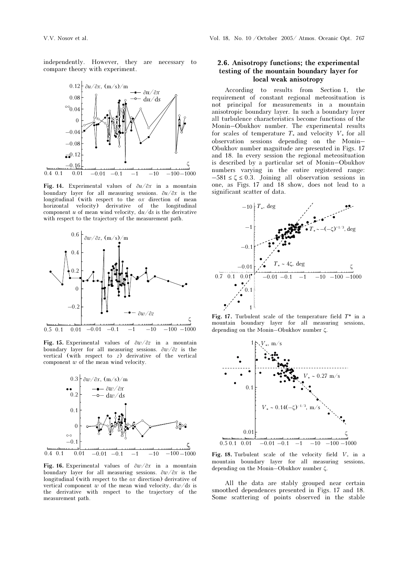independently. However, they are necessary to compare theory with experiment.



Fig. 14. Experimental values of  $\partial u / \partial x$  in a mountain boundary layer for all measuring sessions. ∂u/∂x is the longitudinal (with respect to the  $\alpha x$  direction of mean horizontal velocity) derivative of the longitudinal component  $u$  of mean wind velocity,  $du/ds$  is the derivative with respect to the trajectory of the measurement path.



Fig. 15. Experimental values of  $\partial w / \partial z$  in a mountain boundary layer for all measuring sessions. ∂w/∂z is the vertical (with respect to z) derivative of the vertical component  $w$  of the mean wind velocity.



Fig. 16. Experimental values of  $\partial \omega / \partial x$  in a mountain boundary layer for all measuring sessions. ∂w/∂x is the longitudinal (with respect to the  $\alpha x$  direction) derivative of vertical component w of the mean wind velocity,  $d\omega/ds$  is the derivative with respect to the trajectory of the measurement path.

### 2.6. Anisotropy functions; the experimental testing of the mountain boundary layer for local weak anisotropy

According to results from Section 1, the requirement of constant regional meteosituation is not principal for measurements in a mountain anisotropic boundary layer. In such a boundary layer all turbulence characteristics become functions of the Monin–Obukhov number. The experimental results for scales of temperature  $T_*$  and velocity  $V_*$  for all observation sessions depending on the Monin– Obukhov number magnitude are presented in Figs. 17 and 18. In every session the regional meteosituation is described by a particular set of Monin–Obukhov numbers varying in the entire registered range:  $-581 \le \zeta \le 0.3$ . Joining all observation sessions in one, as Figs. 17 and 18 show, does not lead to a significant scatter of data.



Fig. 17. Turbulent scale of the temperature field  $T^*$  in a mountain boundary layer for all measuring sessions, depending on the Monin–Obukhov number ζ.



Fig. 18. Turbulent scale of the velocity field  $V_*$  in a mountain boundary layer for all measuring sessions, depending on the Monin–Obukhov number ζ.

All the data are stably grouped near certain smoothed dependences presented in Figs. 17 and 18. Some scattering of points observed in the stable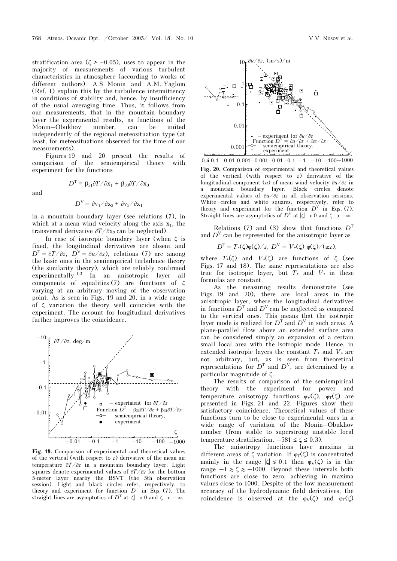stratification area ( $\zeta > +0.05$ ), uses to appear in the majority of measurements of various turbulent characteristics in atmosphere (according to works of different authors). A.S. Monin and A.M. Yaglom (Ref. 1) explain this by the turbulence intermittency in conditions of stability and, hence, by insufficiency of the usual averaging time. Thus, it follows from our measurements, that in the mountain boundary layer the experimental results, as functions of the Monin–Obukhov number, can be united independently of the regional meteosituation type (at least, for meteosituations observed for the time of our measurements).

Figures 19 and 20 present the results of comparison of the semiempirical theory with experiment for the functions

and

$$
D^V = \frac{\partial v_1}{\partial x_3} + \frac{\partial v_3}{\partial x_1}
$$

 $D^{\text{T}} = \beta_{31}\partial T/\partial x_1 + \beta_{33}\partial T/\partial x_3$ 

in a mountain boundary layer (see relations (7), in which at a mean wind velocity along the axis  $x_1$ , the transversal derivative  $\partial T/\partial x_2$  can be neglected).

In case of isotropic boundary layer (when ζ is fixed, the longitudinal derivatives are absent and  $D<sup>T</sup> = \frac{\partial T}{\partial z}$ ,  $D<sup>V</sup> = \frac{\partial u}{\partial z}$ , relations (7) are among the basic ones in the semiempirical turbulence theory (the similarity theory), which are reliably confirmed experimentally.<sup>1,3</sup> In an anisotropic layer all components of equalities (7) are functions of  $\zeta$ varying at an arbitrary moving of the observation point. As is seen in Figs. 19 and 20, in a wide range of ζ variation the theory well coincides with the experiment. The account for longitudinal derivatives further improves the coincidence.



Fig. 19. Comparison of experimental and theoretical values of the vertical (with respect to z) derivative of the mean air temperature ∂T/∂z in a mountain boundary layer. Light squares denote experimental values of  $\frac{\partial T}{\partial z}$  for the bottom 5-meter layer nearby the BSVT (the 5th observation session). Light and black circles refer, respectively, to theory and experiment for function  $D<sup>T</sup>$  in Eqs. (7). The straight lines are asymptotics of  $D^T$  at  $|\zeta| \to 0$  and  $\zeta \to -\infty$ .



Fig. 20. Comparison of experimental and theoretical values of the vertical (with respect to  $z$ ) derivative of the longitudinal component  $(u)$  of mean wind velocity  $\partial u / \partial z$  in a mountain boundary layer. Black circles denote experimental values of ∂u/∂z in all observation sessions. White circles and white squares, respectively, refer to theory and experiment for the function  $D^V$  in Eqs. (7). Straight lines are asymptotics of  $D^{\vee}$  at  $|\zeta| \to 0$  and  $\zeta \to -\infty$ .

Relations (7) and (3) show that functions  $D<sup>T</sup>$ and  $D^V$  can be represented for the anisotropic layer as

$$
D^{T} = T_{*}(\zeta)\varphi(\zeta)/z, \ D^{V} = V_{*}(\zeta)\varphi(\zeta)/(xz),
$$

where  $T*(\zeta)$  and  $V*(\zeta)$  are functions of  $\zeta$  (see Figs. 17 and 18). The same representations are also true for isotropic layer, but  $T^*$  and  $V^*$  in these formulas are constant.

As the measuring results demonstrate (see Figs. 19 and 20), there are local areas in the anisotropic layer, where the longitudinal derivatives in functions  $\overline{D}^T$  and  $\overline{D}^V$  can be neglected as compared to the vertical ones. This means that the isotropic layer mode is realized for  $D<sup>T</sup>$  and  $D<sup>V</sup>$  in such areas. A plane-parallel flow above an extended surface area can be considered simply an expansion of a certain small local area with the isotropic mode. Hence, in extended isotropic layers the constant  $T_*$  and  $V_*$  are not arbitrary, but, as is seen from theoretical representations for  $D^T$  and  $D^V$ , are determined by a particular magnitude of ζ.

The results of comparison of the semiempirical theory with the experiment for power and temperature anisotropy functions  $\varphi_V(\zeta)$ ,  $\varphi_T(\zeta)$  are presented in Figs. 21 and 22. Figures show their satisfactory coincidence. Theoretical values of these functions turn to be close to experimental ones in a wide range of variation of the Monin–Obukhov number (from stable to superstrong unstable local temperature stratification,  $-581 \le \zeta \le 0.3$ ).

The anisotropy functions have maxima in different areas of  $\zeta$  variation. If  $\varphi_T(\zeta)$  is concentrated mainly in the range  $|\zeta| \leq 0.1$  then  $\varphi_V(\zeta)$  is in the range  $-1 \ge \zeta \ge -1000$ . Beyond these intervals both functions are close to zero, achieving in maxima values close to 1000. Despite of the low measurement accuracy of the hydrodynamic field derivatives, the coincidence is observed at the  $\varphi_V(\zeta)$  and  $\varphi_T(\zeta)$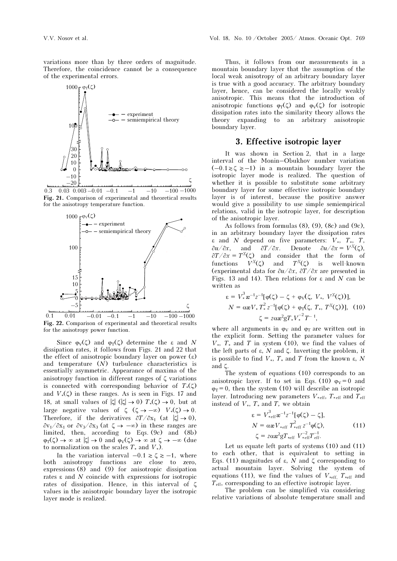variations more than by three orders of magnitude. Therefore, the coincidence cannot be a consequence of the experimental errors.



0.3 0.03 0.003 -0.01 -0.1  $-1$  -10 -100  $-100-1000$ Fig. 21. Comparison of experimental and theoretical results for the anisotropy temperature function.



Fig. 22. Comparison of experimental and theoretical results for the anisotropy power function.

Since  $\varphi_V(\zeta)$  and  $\varphi_T(\zeta)$  determine the  $\varepsilon$  and N dissipation rates, it follows from Figs. 21 and 22 that the effect of anisotropic boundary layer on power  $(ε)$ and temperature  $(N)$  turbulence characteristics is essentially asymmetric. Appearance of maxima of the anisotropy function in different ranges of ζ variations is connected with corresponding behavior of  $T_*(\zeta)$ and  $V_*(\zeta)$  in these ranges. As is seen in Figs. 17 and 18, at small values of  $|\zeta|$  ( $|\zeta| \to 0$ )  $T_*(\zeta) \to 0$ , but at large negative values of  $\zeta$  ( $\zeta \to -\infty$ )  $V_*(\zeta) \to 0$ . Therefore, if the derivatives  $\partial T/\partial x_1$  (at  $|\zeta| \to 0$ ),  $\partial v_1/\partial x_1$  or  $\partial v_3/\partial x_3$  (at  $\zeta \to -\infty$ ) in these ranges are limited, then, according to Eqs. (9c) and (8b)  $\varphi_T(\zeta) \to \infty$  at  $|\zeta| \to 0$  and  $\varphi_V(\zeta) \to \infty$  at  $\zeta \to -\infty$  (due to normalization on the scales  $T_*$  and  $V_*$ ).

In the variation interval  $-0.1 \ge \zeta \ge -1$ , where both anisotropy functions are close to zero, expressions  $(8)$  and  $(9)$  for anisotropic dissipation rates ε and N coincide with expressions for isotropic rates of dissipation. Hence, in this interval of ζ values in the anisotropic boundary layer the isotropic layer mode is realized.

Thus, it follows from our measurements in a mountain boundary layer that the assumption of the local weak anisotropy of an arbitrary boundary layer is true with a good accuracy. The arbitrary boundary layer, hence, can be considered the locally weakly anisotropic. This means that the introduction of anisotropic functions  $\varphi_T(\zeta)$  and  $\varphi_V(\zeta)$  for isotropic dissipation rates into the similarity theory allows the theory expanding to an arbitrary anisotropic boundary layer.

### 3. Effective isotropic layer

It was shown in Section 2, that in a large interval of the Monin–Obukhov number variation  $(-0.1\ge\zeta\ge-1)$  in a mountain boundary layer the isotropic layer mode is realized. The question of whether it is possible to substitute some arbitrary boundary layer for some effective isotropic boundary layer is of interest, because the positive answer would give a possibility to use simple semiempirical relations, valid in the isotropic layer, for description of the anisotropic layer.

As follows from formulas  $(8)$ ,  $(9)$ ,  $(8c)$  and  $(9c)$ , in an arbitrary boundary layer the dissipation rates ε and N depend on five parameters: V∗, T∗, T,  $\partial u/\partial x$ , and  $\partial T/\partial x$ . Denote  $\partial u/\partial x = V^X(\zeta)$ ,  $\partial T/\partial x = T^X(\zeta)$  and consider that the form of functions  $V^X(\zeta)$  and  $T^X(\zeta)$  is well-known functions  $V^X(\zeta)$  and  $T^X(\zeta)$  is well-known (experimental data for ∂u/∂x, ∂T/∂x are presented in Figs. 13 and 14). Then relations for  $\varepsilon$  and N can be written as

$$
\varepsilon = V_*^3 \mathbf{z}^{-1} z^{-1} [\varphi(\zeta) - \zeta + \varphi_V(\zeta, V_*, V^X(\zeta))],
$$
  
\n
$$
N = \alpha \mathbf{z} V_* T_*^2 z^{-1} [\varphi(\zeta) + \varphi_T(\zeta, T_*, T^X(\zeta))], \quad (10)
$$
  
\n
$$
\zeta = z \alpha \mathbf{z}^2 g T_* V_*^{-2} T^{-1},
$$

where all arguments in  $\varphi_V$  and  $\varphi_T$  are written out in the explicit form. Setting the parameter values for  $V^*$ ,  $T^*$  and  $T$  in system (10), we find the values of the left parts of  $ε$ ,  $N$  and  $ζ$ . Inverting the problem, it is possible to find  $V_*, T_*$  and T from the known  $\varepsilon, N$ and ζ.

The system of equations (10) corresponds to an anisotropic layer. If to set in Eqs. (10)  $\varphi_V = 0$  and  $\varphi_T = 0$ , then the system (10) will describe an isotropic layer. Introducing new parameters  $V_{\text{*eff}}$ ,  $T_{\text{*eff}}$  and  $T_{\text{eff}}$ instead of  $V_*, T_*$  and  $T$ , we obtain

$$
\varepsilon = V_{\text{eff}}^3 \mathbf{\alpha}^{-1} z^{-1} [\varphi(\zeta) - \zeta],
$$
  
\n
$$
N = \alpha \mathbf{\alpha} V_{\text{eff}} \ T_{\text{eff}}^2 z^{-1} \varphi(\zeta),
$$
  
\n
$$
\zeta = z \alpha \mathbf{\alpha}^2 g T_{\text{eff}} \ V_{\text{eff}}^{-2} T_{\text{eff}}^{-1}.
$$
\n(11)

Let us equate left parts of systems (10) and (11) to each other, that is equivalent to setting in Eqs. (11) magnitudes of ε, N and ζ corresponding to actual mountain layer. Solving the system of equations (11), we find the values of  $V_{\text{reff}}$ ,  $T_{\text{reff}}$  and  $T_{\text{eff}}$ , corresponding to an effective isotropic layer.

The problem can be simplified via considering relative variations of absolute temperature small and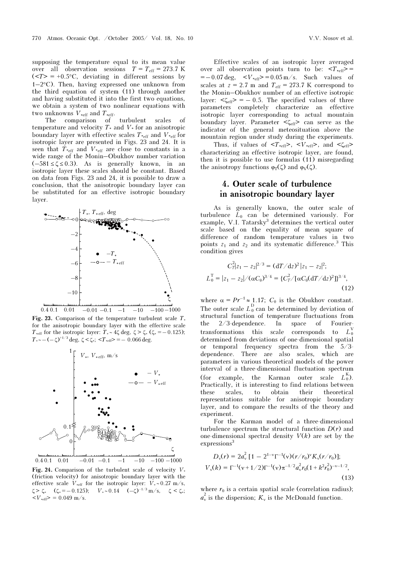supposing the temperature equal to its mean value over all observation sessions  $T = T_{\text{eff}} = 273.7 \text{ K}$  $(\langle T \rangle = +0.5^{\circ}\text{C}$ , deviating in different sessions by  $1-2$ °C). Then, having expressed one unknown from the third equation of system (11) through another and having substituted it into the first two equations, we obtain a system of two nonlinear equations with two unknowns  $V_{\text{*eff}}$  and  $T_{\text{*eff}}$ .

The comparison of turbulent scales of temperature and velocity  $T_*$  and  $V_*$  for an anisotropic boundary layer with effective scales  $T_{\text{eff}}$  and  $V_{\text{eff}}$  for isotropic layer are presented in Figs. 23 and 24. It is seen that  $T_{\text{refi}}$  and  $V_{\text{refi}}$  are close to constants in a wide range of the Monin–Obukhov number variation  $(-581 \le \zeta \le 0.3)$ . As is generally known, in an isotropic layer these scales should be constant. Based on data from Figs. 23 and 24, it is possible to draw a conclusion, that the anisotropic boundary layer can be substituted for an effective isotropic boundary layer.



Fig. 23. Comparison of the temperature turbulent scale  $T_*$ for the anisotropic boundary layer with the effective scale T<sub>\*eff</sub> for the isotropic layer: T<sub>\*</sub> ∼ 4ζ deg,  $\zeta > \zeta$ , ( $\zeta$ \* = − 0.125);  $T_* \sim -(-\zeta)^{+1/3}$  deg,  $\zeta < \zeta_*$ ;  $\langle T_* \rangle = -0.066$  deg.



Fig. 24. Comparison of the turbulent scale of velocity  $V_*$ (friction velocity) for anisotropic boundary layer with the effective scale  $V_{\text{#eff}}$  for the isotropic layer:  $V_* \sim 0.27 \text{ m/s}$ ,  $\zeta > \zeta$ , ( $\zeta$ <sub>\*</sub> = – 0.125);  $V_* \sim 0.14$  (– $\zeta$ )<sup>–1/3</sup> m/s,  $\zeta < \zeta$ <sub>\*</sub>;  $\langle V_{\text{eff}} \rangle = 0.049 \text{ m/s}.$ 

Effective scales of an isotropic layer averaged over all observation points turn to be:  $\langle T_{\text{reff}} \rangle =$  $=-0.07 \text{ deg}, \quad =0.05 \text{ m/s}.$  Such values of scales at  $z = 2.7$  m and  $T_{\text{eff}} = 273.7$  K correspond to the Monin–Obukhov number of an effective isotropic layer:  $\langle \zeta_{\text{eff}} \rangle = -0.5$ . The specified values of three parameters completely characterize an effective isotropic layer corresponding to actual mountain boundary layer. Parameter <ζeff> can serve as the indicator of the general meteosituation above the mountain region under study during the experiments.

Thus, if values of  $\langle T_{\text{reff}} \rangle$ ,  $\langle V_{\text{reff}} \rangle$ , and  $\langle \zeta_{\text{eff}} \rangle$ characterizing an effective isotropic layer, are found, then it is possible to use formulas (11) misregarding the anisotropy functions  $\varphi_T(\zeta)$  and  $\varphi_V(\zeta)$ .

## 4. Outer scale of turbulence in anisotropic boundary layer

As is generally known, the outer scale of turbulence  $L_0$  can be determined variously. For example, V.I. Tatarsky<sup>3</sup> determines the vertical outer scale based on the equality of mean square of difference of random temperature values in two points  $z_1$  and  $z_2$  and its systematic difference.<sup>3</sup> This condition gives

$$
C_T^2 |z_1 - z_2|^{2/3} = (\mathrm{d}T/\mathrm{d}z)^2 |z_1 - z_2|^2;
$$
  
\n
$$
L_0^{\mathrm{T}} = |z_1 - z_2| / (\alpha C_\theta)^{3/4} = \{C_T^2 / [\alpha C_\theta (\mathrm{d}T/\mathrm{d}z)^2] \}^{3/4},
$$
\n(12)

where  $\alpha = Pr^{-1} \approx 1.17$ ;  $C_{\theta}$  is the Obukhov constant. The outer scale  $L_0^D$  can be determined by deviation of structural function of temperature fluctuations from the 2/3-dependence. In space of Fouriertransformations this scale corresponds to  $L_0^{\prime}$ determined from deviations of one-dimensional spatial or temporal frequency spectra from the 5/3 dependence. There are also scales, which are parameters in various theoretical models of the power interval of a three-dimensional fluctuation spectrum  $(for example, the Karman outer)$ scale  $L_0^{\kappa}$ ). Practically, it is interesting to find relations between these scales, to obtain their theoretical representations suitable for anisotropic boundary layer, and to compare the results of the theory and experiment.

For the Karman model of a three-dimensional turbulence spectrum the structural function  $D(r)$  and one-dimensional spectral density  $V(k)$  are set by the expressions<sup>3</sup>

$$
D_{\nu}(r) = 2a_{\nu}^{2} [1 - 2^{1-\nu} \Gamma^{-1}(\nu)(r/r_{0})^{\nu} K_{\nu}(r/r_{0})];
$$
  
\n
$$
V_{\nu}(k) = \Gamma^{-1}(\nu + 1/2) \Gamma^{-1}(\nu) \pi^{-1/2} a_{\nu}^{2} r_{0} (1 + k^{2} r_{0}^{2})^{-\nu - 1/2},
$$
\n(13)

where  $r_0$  is a certain spatial scale (correlation radius);  $a_{\rm v}^2$  is the dispersion;  $K_{\rm v}$  is the McDonald function.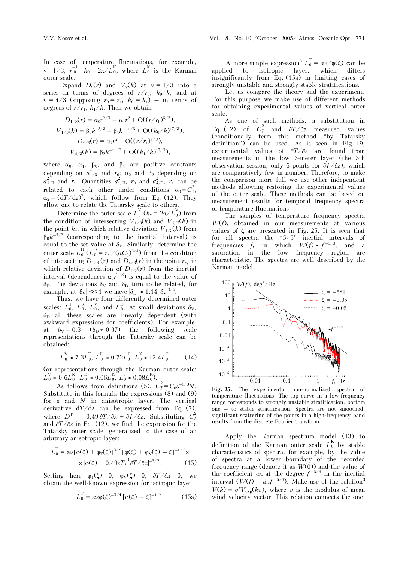In case of temperature fluctuations, for example,  $v = 1/3$ ,  $r_0^{-1} = k_0 = 2\pi/L_0^K$ , where  $L_0^K$  is the Karman outer scale.

Expand  $D_v(r)$  and  $V_v(k)$  at  $v = 1/3$  into a series in terms of degrees of  $r/r_0$ ,  $k_0/k$ , and at  $v = 4/3$  (supposing  $r_0 = r_1$ ,  $k_0 = k_1$ ) – in terms of degrees of  $r/r_1$ ,  $k_1/k$ . Then we obtain

$$
D_{1/3}(r) = \alpha_0 r^{2/3} - \alpha_1 r^2 + O((r/r_0)^{8/3}),
$$
  
\n
$$
V_{1/3}(k) = \beta_0 k^{-5/3} - \beta_1 k^{-11/3} + O((k_0/k)^{17/3}),
$$
  
\n
$$
D_{4/3}(r) = \alpha_2 r^2 + O((r/r_1)^{8/3}),
$$
  
\n
$$
V_{4/3}(k) = \beta_2 k^{-11/3} + O((k_1/k)^{17/3}),
$$

where  $\alpha_0$ ,  $\alpha_1$ ,  $\beta_0$ , and  $\beta_1$  are positive constants depending on  $a_{1/3}^2$  and  $r_0$ ;  $\alpha_2$  and  $\beta_2$  depending on  $a_{4/3}^2$  and  $r_1$ . Quantities  $a_{1/3}^2$ ,  $r_0$  and  $a_{4/3}^2$ ,  $r_1$  can be related to each other under conditions  $\alpha_0 = C_T^2$ ,  $\alpha_2 = (dT/dz)^2$ , which follow from Eq. (12). They allow one to relate the Tatarsky scale to others.

Determine the outer scale  $L_0^V$  ( $k_* = 2\pi/L_0^V$ ) from the condition of intersecting  $V_{1/3}(k)$  and  $V_{4/3}(k)$  in the point  $k_*$ , in which relative deviation  $V_{1/3}(k)$  from  $\beta_0 k^{-5/3}$  (corresponding to the inertial interval) is equal to the set value of  $\delta_{V}$ . Similarly, determine the outer scale  $L_0^D$  ( $L_0^D = r_* / (\alpha C_0)^{3/4}$ ) from the condition of intersecting  $D_{1/3}(r)$  and  $D_{4/3}(r)$  in the point  $r_*$ , in which relative deviation of  $D_{1/3}(r)$  from the inertial interval (dependences  $\alpha_0 r^{2/3}$ ) is equal to the value of  $\delta_{\rm D}$ . The deviations  $\delta_{\rm V}$  and  $\delta_{\rm D}$  turn to be related, for example, at  $|\delta_{\rm V}| \ll 1$  we have  $|\delta_{\rm D}| \approx 1.14 |\delta_{\rm V}|^{3/4}$ .

Thus, we have four differently determined outer scales:  $L_0^T$ ,  $L_0^K$ ,  $L_0^V$ , and  $L_0^D$ . At small deviations  $\delta_V$ ,  $\delta_D$  all these scales are linearly dependent (with awkward expressions for coefficients). For example, at  $\delta_V = 0.3$   $(\delta_D \approx 0.37)$  the following scale representations through the Tatarsky scale can be obtained:

$$
L_0^V \approx 7.3L_0^T
$$
,  $L_0^D \approx 0.72L_0^T$ ,  $L_0^K \approx 12.4L_0^T$  (14)

(or representations through the Karman outer scale:  $L_0^V \approx 0.6L_0^K$ ,  $L_0^D \approx 0.06L_0^K$ ,  $L_0^T \approx 0.08L_0^K$ ).

As follows from definitions (5),  $C_T^2 = C_\theta \varepsilon^{-1/3} N$ . Substitute in this formula the expressions (8) and (9) for  $\varepsilon$  and  $N$  in anisotropic layer. The vertical derivative  $dT/dz$  can be expressed from Eq. (7), where  $D^{\text{T}} = -0.49 \frac{\partial T}{\partial x} + \frac{\partial T}{\partial z}$ . Substituting  $C_T^2$ and ∂T/∂z in Eq. (12), we find the expression for the Tatarsky outer scale, generalized to the case of an arbitrary anisotropic layer:

$$
L_0^{\rm T} = \mathbf{z} z [\varphi(\zeta) + \varphi_{\rm T}(\zeta)]^{3/4} [\varphi(\zeta) + \varphi_{\rm V}(\zeta) - \zeta]^{-1/4} \times \\ \times |\varphi(\zeta) + 0.49z T_*^{-1} \partial T / \partial x|^{-3/2}.
$$
 (15)

Setting here  $\varphi_T(\zeta) = 0$ ,  $\varphi_V(\zeta) = 0$ ,  $\frac{\partial T}{\partial x} = 0$ , we obtain the well-known expression for isotropic layer

$$
L_0^{\rm T} = \text{arg}(\zeta)^{-3/4} \left[ \varphi(\zeta) - \zeta \right]^{-1/4}.
$$
 (15a)

A more simple expression<sup>3</sup>  $L_0^T = \frac{\alpha z}{\phi(\zeta)}$  can be applied to isotropic layer, which differs insignificantly from Eq. (15à) in limiting cases of strongly unstable and strongly stable stratifications.

Let us compare the theory and the experiment. For this purpose we make use of different methods for obtaining experimental values of vertical outer scale.

As one of such methods, a substitution in Eq. (12) of  $C_T^2$  and  $\partial T/\partial z$  measured values (conditionally term this method "by Tatarsky definition") can be used. As is seen in Fig. 19, experimental values of ∂T/∂z are found from measurements in the low 5-meter layer (the 5th observation session, only 6 points for  $\partial T/\partial z$ , which are comparatively few in number. Therefore, to make the comparison more full we use other independent methods allowing restoring the experimental values of the outer scale. These methods can be based on measurement results for temporal frequency spectra of temperature fluctuations.

The samples of temperature frequency spectra  $W(f)$ , obtained in our measurements at various values of  $\zeta$  are presented in Fig. 25. It is seen that for all spectra the "5/3" inertial intervals of frequencies f, in which  $W(f) \sim f^{-5/3}$ , and a saturation in the low frequency region are characteristic. The spectra are well described by the Karman model.



Fig. 25. The experimental non-normalized spectra of temperature fluctuations. The top curve in a low-frequency range corresponds to strongly unstable stratification, bottom one – to stable stratification. Spectra are not smoothed, significant scattering of the points in a high-frequency band results from the discrete Fourier transform.

Apply the Karman spectrum model (13) to definition of the Karman outer scale  $L_0^K$  by stable characteristics of spectra, for example, by the value of spectra at a lower boundary of the recorded frequency range (denote it as  $W(0)$ ) and the value of the coefficient  $w_*$  at the degree  $f^{-5/3}$  in the inertial interval  $(W(f) = w_*f^{-5/3})$ . Make use of the relation<sup>3</sup>  $V(k) = vW_{exp}(kv)$ , where v is the modulus of mean wind velocity vector. This relation connects the one